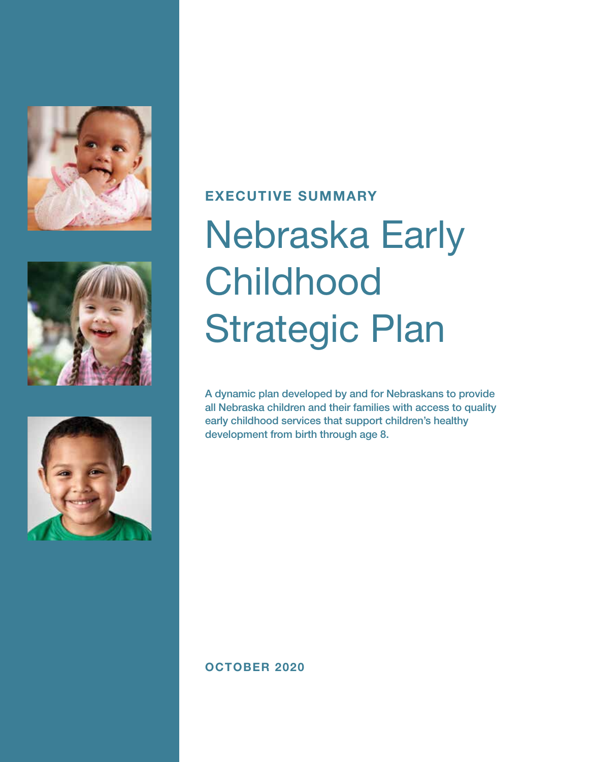





# EXECUTIVE SUMMARY

# Nebraska Early **Childhood** Strategic Plan

A dynamic plan developed by and for Nebraskans to provide all Nebraska children and their families with access to quality early childhood services that support children's healthy development from birth through age 8.

# OCTOBER 2020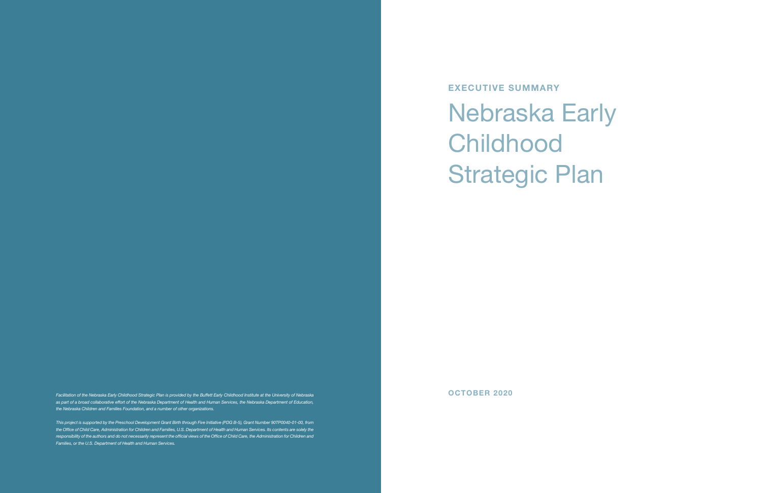# Strategic Plan

EXECUTIVE SUMMARY Nebraska Early **Childhood** 

Facilitation of the Nebraska Early Childhood Strategic Plan is provided by the Buffett Early Childhood Institute at the University of Nebraska **by the Strategic Plan is provided by the Buffett Early Childhood Institute at** as part of a broad collaborative effort of the Nebraska Department of Health and Human Services, the Nebraska Department of Education, *the Nebraska Children and Families Foundation, and a number of other organizations.* 

*This project is supported by the Preschool Development Grant Birth through Five Initiative (PDG B-5), Grant Number 90TP0040-01-00, from*  the Office of Child Care, Administration for Children and Families, U.S. Department of Health and Human Services. Its contents are solely the *responsibility of the authors and do not necessarily represent the official views of the Office of Child Care, the Administration for Children and Families, or the U.S. Department of Health and Human Services.*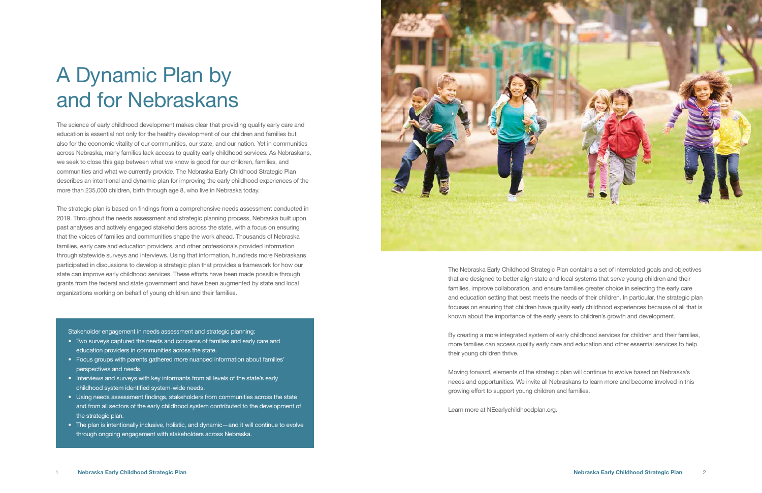The science of early childhood development makes clear that providing quality early care and education is essential not only for the healthy development of our children and families but also for the economic vitality of our communities, our state, and our nation. Yet in communities across Nebraska, many families lack access to quality early childhood services. As Nebraskans, we seek to close this gap between what we know is good for our children, families, and communities and what we currently provide. The Nebraska Early Childhood Strategic Plan describes an intentional and dynamic plan for improving the early childhood experiences of the more than 235,000 children, birth through age 8, who live in Nebraska today.

The strategic plan is based on findings from a comprehensive needs assessment conducted in 2019. Throughout the needs assessment and strategic planning process, Nebraska built upon past analyses and actively engaged stakeholders across the state, with a focus on ensuring that the voices of families and communities shape the work ahead. Thousands of Nebraska families, early care and education providers, and other professionals provided information through statewide surveys and interviews. Using that information, hundreds more Nebraskans participated in discussions to develop a strategic plan that provides a framework for how our state can improve early childhood services. These efforts have been made possible through grants from the federal and state government and have been augmented by state and local organizations working on behalf of young children and their families.

Stakeholder engagement in needs assessment and strategic planning:

- Two surveys captured the needs and concerns of families and early care and education providers in communities across the state.
- Focus groups with parents gathered more nuanced information about families' perspectives and needs.
- Interviews and surveys with key informants from all levels of the state's early childhood system identified system-wide needs.
- Using needs assessment findings, stakeholders from communities across the state and from all sectors of the early childhood system contributed to the development of the strategic plan.
- The plan is intentionally inclusive, holistic, and dynamic—and it will continue to evolve through ongoing engagement with stakeholders across Nebraska.



The Nebraska Early Childhood Strategic Plan contains a set of interrelated goals and objectives that are designed to better align state and local systems that serve young children and their families, improve collaboration, and ensure families greater choice in selecting the early care and education setting that best meets the needs of their children. In particular, the strategic plan focuses on ensuring that children have quality early childhood experiences because of all that is known about the importance of the early years to children's growth and development.

By creating a more integrated system of early childhood services for children and their families, more families can access quality early care and education and other essential services to help their young children thrive.

Moving forward, elements of the strategic plan will continue to evolve based on Nebraska's needs and opportunities. We invite all Nebraskans to learn more and become involved in this growing effort to support young children and families.

Learn more at NEearlychildhoodplan.org.

# A Dynamic Plan by and for Nebraskans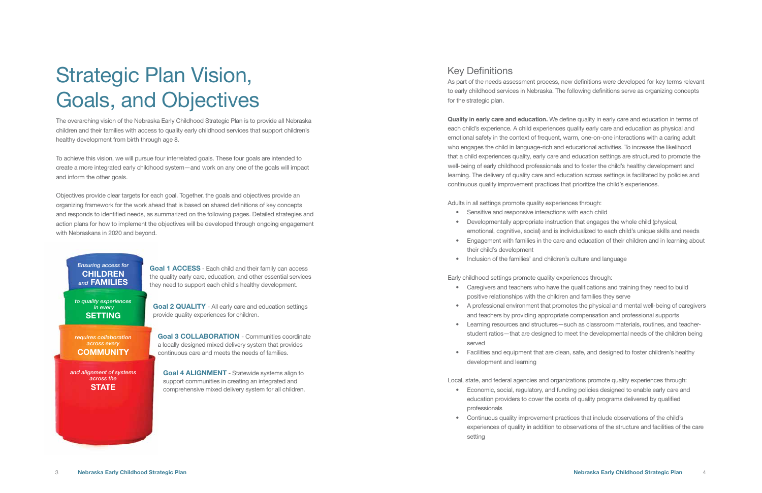- 
- 

The overarching vision of the Nebraska Early Childhood Strategic Plan is to provide all Nebraska children and their families with access to quality early childhood services that support children's healthy development from birth through age 8.

To achieve this vision, we will pursue four interrelated goals. These four goals are intended to create a more integrated early childhood system—and work on any one of the goals will impact and inform the other goals.

Objectives provide clear targets for each goal. Together, the goals and objectives provide an organizing framework for the work ahead that is based on shared definitions of key concepts and responds to identified needs, as summarized on the following pages. Detailed strategies and action plans for how to implement the objectives will be developed through ongoing engagement with Nebraskans in 2020 and beyond.

# Strategic Plan Vision, Goals, and Objectives

As part of the needs assessment process, new definitions were developed for key terms relevant to early childhood services in Nebraska. The following definitions serve as organizing concepts for the strategic plan.

Quality in early care and education. We define quality in early care and education in terms of each child's experience. A child experiences quality early care and education as physical and emotional safety in the context of frequent, warm, one-on-one interactions with a caring adult who engages the child in language-rich and educational activities. To increase the likelihood that a child experiences quality, early care and education settings are structured to promote the well-being of early childhood professionals and to foster the child's healthy development and learning. The delivery of quality care and education across settings is facilitated by policies and continuous quality improvement practices that prioritize the child's experiences.

*and alignment of systems across the* **STATE** 

*requires collaboration across every*  **COMMUNITY** 

*to quality experiences in every*  **SETTING** 

Goal 1 ACCESS - Each child and their family can access the quality early care, education, and other essential services they need to support each child's healthy development.

Adults in all settings promote quality experiences through:

Goal 2 QUALITY - All early care and education settings provide quality experiences for children.

- Sensitive and responsive interactions with each child
- Developmentally appropriate instruction that engages the whole child (physical, emotional, cognitive, social) and is individualized to each child's unique skills and needs • Engagement with families in the care and education of their children and in learning about
- their child's development
- Inclusion of the families' and children's culture and language

Early childhood settings promote quality experiences through:

- Caregivers and teachers who have the qualifications and training they need to build positive relationships with the children and families they serve
- A professional environment that promotes the physical and mental well-being of caregivers and teachers by providing appropriate compensation and professional supports
- Learning resources and structures—such as classroom materials, routines, and teacherstudent ratios—that are designed to meet the developmental needs of the children being served
- development and learning

• Facilities and equipment that are clean, safe, and designed to foster children's healthy

Local, state, and federal agencies and organizations promote quality experiences through: • Economic, social, regulatory, and funding policies designed to enable early care and education providers to cover the costs of quality programs delivered by qualified

- professionals
- setting

• Continuous quality improvement practices that include observations of the child's experiences of quality in addition to observations of the structure and facilities of the care

# Key Definitions

# *Ensuring access for*  **CHILDREN** *and* FAMILIES

Goal 3 COLLABORATION - Communities coordinate a locally designed mixed delivery system that provides continuous care and meets the needs of families.

Goal 4 ALIGNMENT - Statewide systems align to support communities in creating an integrated and comprehensive mixed delivery system for all children.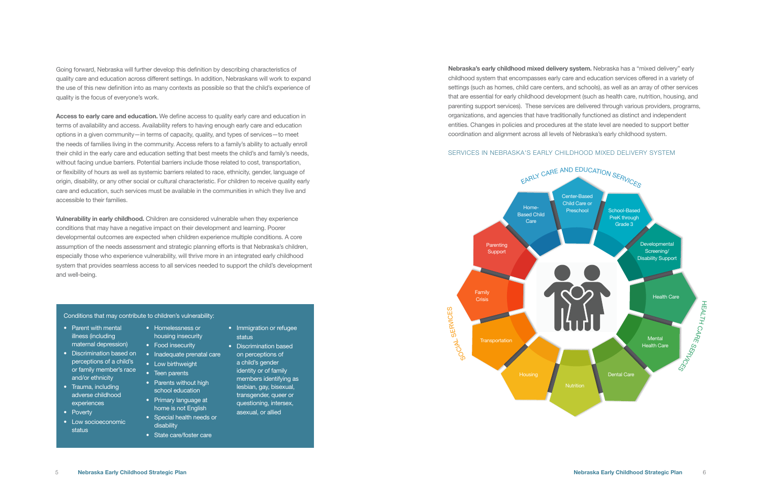Going forward, Nebraska will further develop this definition by describing characteristics of quality care and education across different settings. In addition, Nebraskans will work to expand the use of this new definition into as many contexts as possible so that the child's experience of quality is the focus of everyone's work.

Access to early care and education. We define access to quality early care and education in terms of availability and access. Availability refers to having enough early care and education options in a given community—in terms of capacity, quality, and types of services—to meet the needs of families living in the community. Access refers to a family's ability to actually enroll their child in the early care and education setting that best meets the child's and family's needs, without facing undue barriers. Potential barriers include those related to cost, transportation, or flexibility of hours as well as systemic barriers related to race, ethnicity, gender, language of origin, disability, or any other social or cultural characteristic. For children to receive quality early care and education, such services must be available in the communities in which they live and accessible to their families.

Vulnerability in early childhood. Children are considered vulnerable when they experience conditions that may have a negative impact on their development and learning. Poorer developmental outcomes are expected when children experience multiple conditions. A core assumption of the needs assessment and strategic planning efforts is that Nebraska's children, especially those who experience vulnerability, will thrive more in an integrated early childhood system that provides seamless access to all services needed to support the child's development and well-being.

- Homelessness or housing insecurity
- Food insecurity
- Inadequate prenatal care
- Low birthweight • Teen parents
- Parents without high school education
- Primary language at home is not English
- Special health needs or disability
- State care/foster care

### Conditions that may contribute to children's vulnerability:

Nebraska's early childhood mixed delivery system. Nebraska has a "mixed delivery" early childhood system that encompasses early care and education services offered in a variety of settings (such as homes, child care centers, and schools), as well as an array of other services that are essential for early childhood development (such as health care, nutrition, housing, and parenting support services). These services are delivered through various providers, programs, organizations, and agencies that have traditionally functioned as distinct and independent entities. Changes in policies and procedures at the state level are needed to support better coordination and alignment across all levels of Nebraska's early childhood system.

# SERVICES IN NEBRASKA'S EARLY CHILDHOOD MIXED DELIVERY SYSTEM



- Parent with mental illness (including maternal depression)
- Discrimination based on perceptions of a child's or family member's race and/or ethnicity
- Trauma, including adverse childhood experiences
- Poverty
- Low socioeconomic status
- Immigration or refugee status
- Discrimination based
	- on perceptions of a child's gender identity or of family members identifying as lesbian, gay, bisexual, transgender, queer or
	- questioning, intersex, asexual, or allied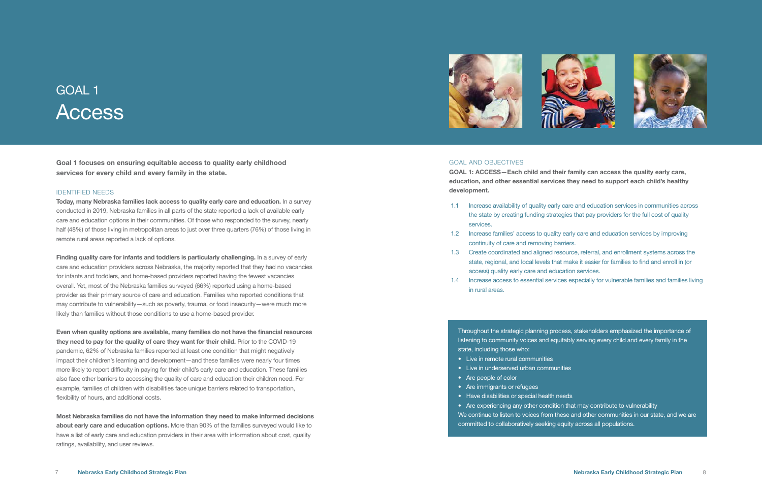Goal 1 focuses on ensuring equitable access to quality early childhood services for every child and every family in the state.

### IDENTIFIED NEEDS

Today, many Nebraska families lack access to quality early care and education. In a survey conducted in 2019, Nebraska families in all parts of the state reported a lack of available early care and education options in their communities. Of those who responded to the survey, nearly half (48%) of those living in metropolitan areas to just over three quarters (76%) of those living in remote rural areas reported a lack of options.

Finding quality care for infants and toddlers is particularly challenging. In a survey of early care and education providers across Nebraska, the majority reported that they had no vacancies for infants and toddlers, and home-based providers reported having the fewest vacancies overall. Yet, most of the Nebraska families surveyed (66%) reported using a home-based provider as their primary source of care and education. Families who reported conditions that may contribute to vulnerability—such as poverty, trauma, or food insecurity—were much more likely than families without those conditions to use a home-based provider.

Even when quality options are available, many families do not have the financial resources they need to pay for the quality of care they want for their child. Prior to the COVID-19 pandemic, 62% of Nebraska families reported at least one condition that might negatively impact their children's learning and development—and these families were nearly four times more likely to report difficulty in paying for their child's early care and education. These families also face other barriers to accessing the quality of care and education their children need. For example, families of children with disabilities face unique barriers related to transportation, flexibility of hours, and additional costs.

Most Nebraska families do not have the information they need to make informed decisions about early care and education options. More than 90% of the families surveyed would like to have a list of early care and education providers in their area with information about cost, quality ratings, availability, and user reviews.





# GOAL 1 Access

### GOAL AND OBJECTIVES

GOAL 1: ACCESS—Each child and their family can access the quality early care, education, and other essential services they need to support each child's healthy development.

Throughout the strategic planning process, stakeholders emphasized the importance of listening to community voices and equitably serving every child and every family in the state, including those who:

- Live in remote rural communities
- Live in underserved urban communities
- Are people of color
- Are immigrants or refugees
- Have disabilities or special health needs

- Are experiencing any other condition that may contribute to vulnerability
- We continue to listen to voices from these and other communities in our state, and we are
	-

committed to collaboratively seeking equity across all populations.



1.1 Increase availability of quality early care and education services in communities across the state by creating funding strategies that pay providers for the full cost of quality

- services.
- 1.2 Increase families' access to quality early care and education services by improving continuity of care and removing barriers.
- 1.3 Create coordinated and aligned resource, referral, and enrollment systems across the state, regional, and local levels that make it easier for families to find and enroll in (or access) quality early care and education services.
- in rural areas.

1.4 Increase access to essential services especially for vulnerable families and families living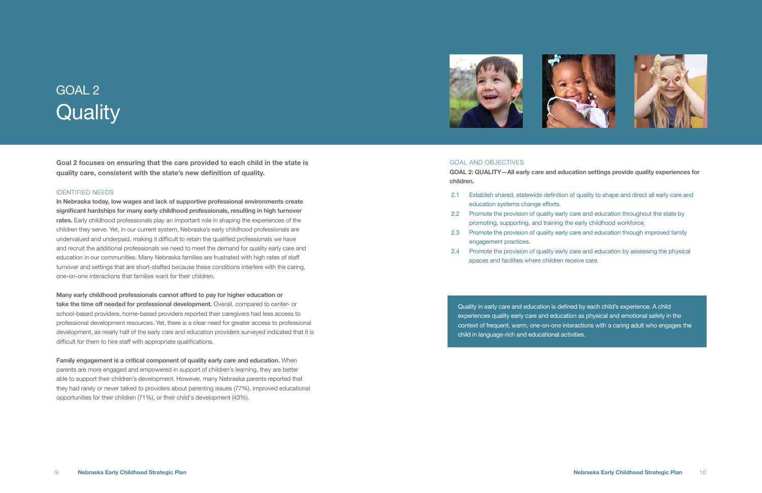

Goal 2 focuses on ensuring that the care provided to each child in the state is quality care, consistent with the state's new definition of quality.

### IDENTIFIED NEEDS

In Nebraska today, low wages and lack of supportive professional environments create significant hardships for many early childhood professionals, resulting in high turnover rates. Early childhood professionals play an important role in shaping the experiences of the children they serve. Yet, in our current system, Nebraska's early childhood professionals are undervalued and underpaid, making it difficult to retain the qualified professionals we have and recruit the additional professionals we need to meet the demand for quality early care and education in our communities. Many Nebraska families are frustrated with high rates of staff turnover and settings that are short-staffed because these conditions interfere with the caring, one-on-one interactions that families want for their children.

# GOAL 2 **Quality**

Many early childhood professionals cannot afford to pay for higher education or take the time off needed for professional development. Overall, compared to center- or school-based providers, home-based providers reported their caregivers had less access to professional development resources. Yet, there is a clear need for greater access to professional development, as nearly half of the early care and education providers surveyed indicated that it is difficult for them to hire staff with appropriate qualifications.

Quality in early care and education is defined by each child's experience. A child experiences quality early care and education as physical and emotional safety in the context of frequent, warm, one-on-one interactions with a caring adult who engages the child in language-rich and educational activities.

Family engagement is a critical component of quality early care and education. When parents are more engaged and empowered in support of children's learning, they are better able to support their children's development. However, many Nebraska parents reported that they had rarely or never talked to providers about parenting issues (77%), improved educational opportunities for their children (71%), or their child's development (43%).



## GOAL AND OBJECTIVES

GOAL 2: QUALITY—All early care and education settings provide quality experiences for children.

- 2.1 Establish shared, statewide definition of quality to shape and direct all early care and education systems change efforts.
- 2.2 Promote the provision of quality early care and education throughout the state by promoting, supporting, and training the early childhood workforce.
- 2.3 Promote the provision of quality early care and education through improved family engagement practices.
- spaces and facilities where children receive care.

2.4 Promote the provision of quality early care and education by assessing the physical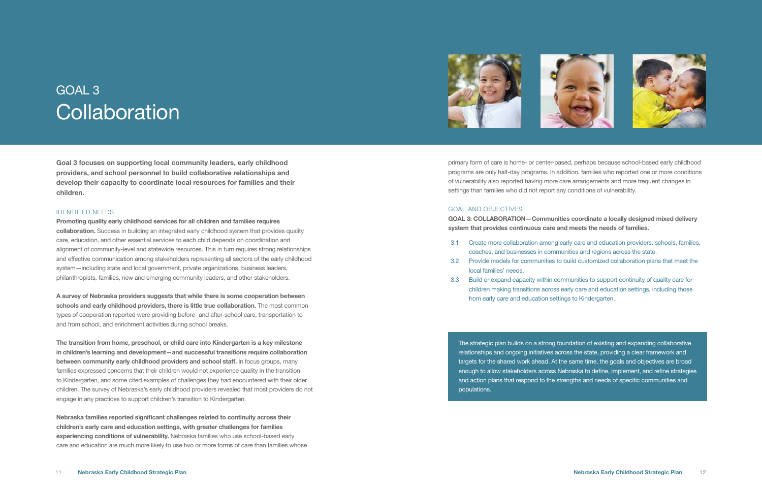Goal 3 focuses on supporting local community leaders, early childhood providers, and school personnel to build collaborative relationships and develop their capacity to coordinate local resources for families and their children.

# IDENTIFIED NEEDS

Promoting quality early childhood services for all children and families requires collaboration. Success in building an integrated early childhood system that provides quality care, education, and other essential services to each child depends on coordination and alignment of community-level and statewide resources. This in turn requires strong relationships and effective communication among stakeholders representing all sectors of the early childhood system—including state and local government, private organizations, business leaders, philanthropists, families, new and emerging community leaders, and other stakeholders.

A survey of Nebraska providers suggests that while there is some cooperation between schools and early childhood providers, there is little true collaboration. The most common types of cooperation reported were providing before- and after-school care, transportation to and from school, and enrichment activities during school breaks.

# GOAL 3 **Collaboration**

The transition from home, preschool, or child care into Kindergarten is a key milestone in children's learning and development—and successful transitions require collaboration between community early childhood providers and school staff. In focus groups, many families expressed concerns that their children would not experience quality in the transition to Kindergarten, and some cited examples of challenges they had encountered with their older children. The survey of Nebraska's early childhood providers revealed that most providers do not engage in any practices to support children's transition to Kindergarten.

Nebraska families reported significant challenges related to continuity across their children's early care and education settings, with greater challenges for families experiencing conditions of vulnerability. Nebraska families who use school-based early care and education are much more likely to use two or more forms of care than families whose



primary form of care is home- or center-based, perhaps because school-based early childhood programs are only half-day programs. In addition, families who reported one or more conditions of vulnerability also reported having more care arrangements and more frequent changes in settings than families who did not report any conditions of vulnerability.

# GOAL AND OBJECTIVES

GOAL 3: COLLABORATION—Communities coordinate a locally designed mixed delivery system that provides continuous care and meets the needs of families.

- 3.1 Create more collaboration among early care and education providers, schools, families, coaches, and businesses in communities and regions across the state.
- 3.2 Provide models for communities to build customized collaboration plans that meet the local families' needs.
- from early care and education settings to Kindergarten.

3.3 Build or expand capacity within communities to support continuity of quality care for children making transitions across early care and education settings, including those

The strategic plan builds on a strong foundation of existing and expanding collaborative relationships and ongoing initiatives across the state, providing a clear framework and targets for the shared work ahead. At the same time, the goals and objectives are broad enough to allow stakeholders across Nebraska to define, implement, and refine strategies and action plans that respond to the strengths and needs of specific communities and populations.

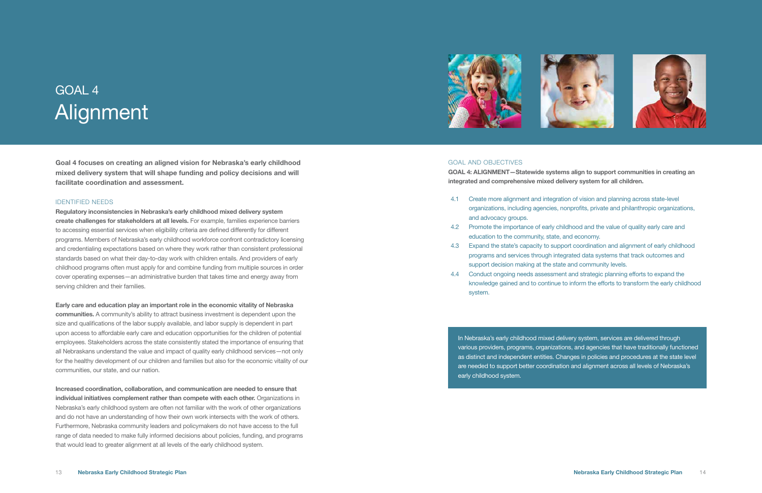Goal 4 focuses on creating an aligned vision for Nebraska's early childhood mixed delivery system that will shape funding and policy decisions and will facilitate coordination and assessment.

### IDENTIFIED NEEDS

Regulatory inconsistencies in Nebraska's early childhood mixed delivery system create challenges for stakeholders at all levels. For example, families experience barriers to accessing essential services when eligibility criteria are defined differently for different programs. Members of Nebraska's early childhood workforce confront contradictory licensing and credentialing expectations based on where they work rather than consistent professional standards based on what their day-to-day work with children entails. And providers of early childhood programs often must apply for and combine funding from multiple sources in order cover operating expenses—an administrative burden that takes time and energy away from serving children and their families.

Early care and education play an important role in the economic vitality of Nebraska communities. A community's ability to attract business investment is dependent upon the size and qualifications of the labor supply available, and labor supply is dependent in part upon access to affordable early care and education opportunities for the children of potential employees. Stakeholders across the state consistently stated the importance of ensuring that all Nebraskans understand the value and impact of quality early childhood services—not only for the healthy development of our children and families but also for the economic vitality of our communities, our state, and our nation.

Increased coordination, collaboration, and communication are needed to ensure that individual initiatives complement rather than compete with each other. Organizations in Nebraska's early childhood system are often not familiar with the work of other organizations and do not have an understanding of how their own work intersects with the work of others. Furthermore, Nebraska community leaders and policymakers do not have access to the full range of data needed to make fully informed decisions about policies, funding, and programs that would lead to greater alignment at all levels of the early childhood system.



# GOAL 4 Alignment

## GOAL AND OBJECTIVES

GOAL 4: ALIGNMENT—Statewide systems align to support communities in creating an integrated and comprehensive mixed delivery system for all children.

- 4.1 Create more alignment and integration of vision and planning across state-level organizations, including agencies, nonprofits, private and philanthropic organizations, and advocacy groups.
- 4.2 Promote the importance of early childhood and the value of quality early care and education to the community, state, and economy.
- 4.3 Expand the state's capacity to support coordination and alignment of early childhood programs and services through integrated data systems that track outcomes and support decision making at the state and community levels.
- 4.4 Conduct ongoing needs assessment and strategic planning efforts to expand the knowledge gained and to continue to inform the efforts to transform the early childhood system.

In Nebraska's early childhood mixed delivery system, services are delivered through various providers, programs, organizations, and agencies that have traditionally functioned as distinct and independent entities. Changes in policies and procedures at the state level are needed to support better coordination and alignment across all levels of Nebraska's early childhood system.



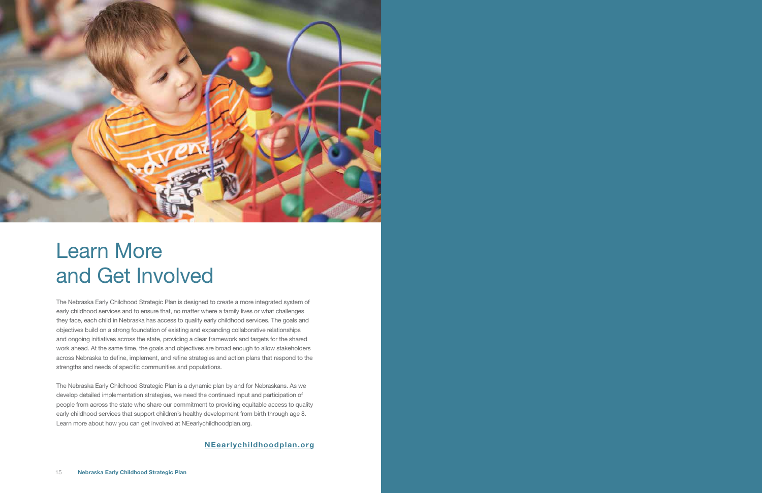The Nebraska Early Childhood Strategic Plan is designed to create a more integrated system of early childhood services and to ensure that, no matter where a family lives or what challenges they face, each child in Nebraska has access to quality early childhood services. The goals and objectives build on a strong foundation of existing and expanding collaborative relationships and ongoing initiatives across the state, providing a clear framework and targets for the shared work ahead. At the same time, the goals and objectives are broad enough to allow stakeholders across Nebraska to define, implement, and refine strategies and action plans that respond to the strengths and needs of specific communities and populations.

The Nebraska Early Childhood Strategic Plan is a dynamic plan by and for Nebraskans. As we develop detailed implementation strategies, we need the continued input and participation of people from across the state who share our commitment to providing equitable access to quality early childhood services that support children's healthy development from birth through age 8. Learn more about how you can get involved at NEearlychildhoodplan.org.



# Learn More and Get Involved

# NEearlychildhoodplan.org